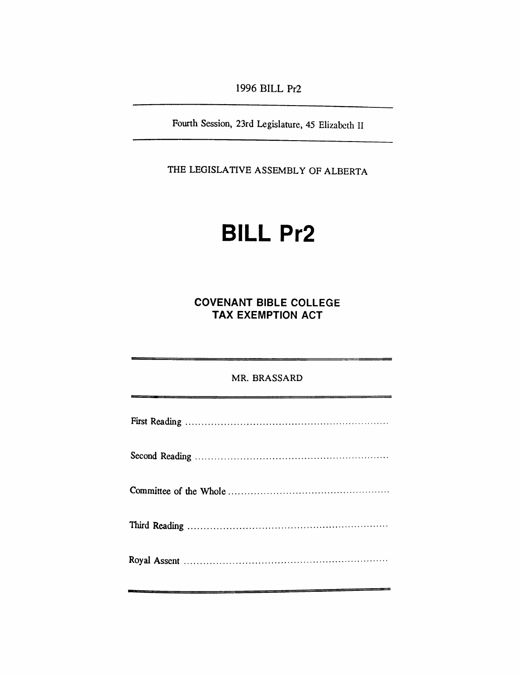*1996 BILL Pr2*

*Fourth Session, 23rd Legislature, 45 Elizabeth II*

*THE LEGISLATIVE ASSEMBLY OF ALBERTA*

## *BILL Pr2*

*COVENANT BIBLE COLLEGE TAX EXEMPTION ACT*

## *MR. BRASSARD*